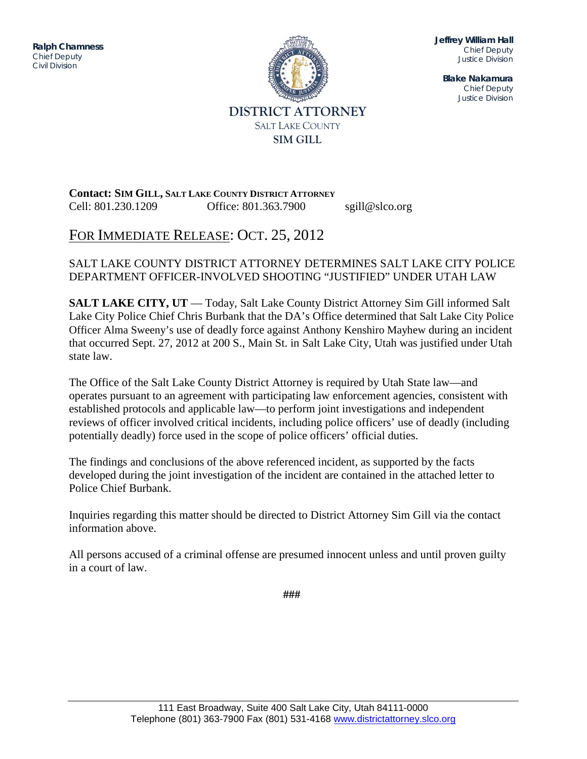ITITIQUE DIVISION DE L'ON DIVISION DE L'ON DIVISION DE L'ON DIVISION DE L'ON DIVISION DE L'ON DIVISION DE L'ON<br>DIVISION DE L'ON DIVISION DE L'ON DIVISION DE L'ON DIVISION DE L'ON DIVISION DE L'ON DIVISION DE L'ON DIVISION **Ralph Chamness**  *Chief Deputy Civil Division*



**Jeffrey William Hall** *Chief Deputy Justice Division*

**Blake Nakamura** *Chief Deputy Justice Division*

**Contact: SIM GILL, SALT LAKE COUNTY DISTRICT ATTORNEY** Cell: 801.230.1209 Office: 801.363.7900 sgill@slco.org

## FOR IMMEDIATE RELEASE: OCT. 25, 2012

## SALT LAKE COUNTY DISTRICT ATTORNEY DETERMINES SALT LAKE CITY POLICE DEPARTMENT OFFICER-INVOLVED SHOOTING "JUSTIFIED" UNDER UTAH LAW

**SALT LAKE CITY, UT** — Today, Salt Lake County District Attorney Sim Gill informed Salt Lake City Police Chief Chris Burbank that the DA's Office determined that Salt Lake City Police Officer Alma Sweeny's use of deadly force against Anthony Kenshiro Mayhew during an incident that occurred Sept. 27, 2012 at 200 S., Main St. in Salt Lake City, Utah was justified under Utah state law.

The Office of the Salt Lake County District Attorney is required by Utah State law—and operates pursuant to an agreement with participating law enforcement agencies, consistent with established protocols and applicable law—to perform joint investigations and independent reviews of officer involved critical incidents, including police officers' use of deadly (including potentially deadly) force used in the scope of police officers' official duties.

The findings and conclusions of the above referenced incident, as supported by the facts developed during the joint investigation of the incident are contained in the attached letter to Police Chief Burbank.

Inquiries regarding this matter should be directed to District Attorney Sim Gill via the contact information above.

All persons accused of a criminal offense are presumed innocent unless and until proven guilty in a court of law.

**###**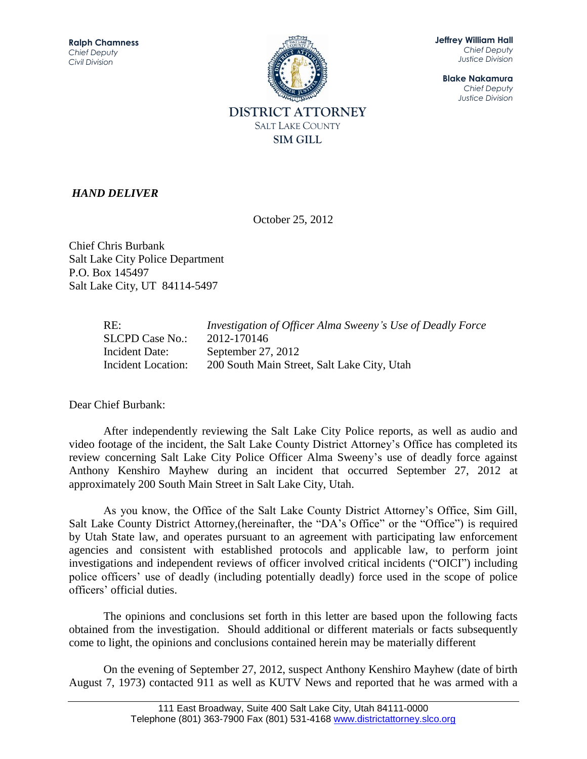

**Jeffrey William Hall** *Chief Deputy Justice Division*

**Blake Nakamura** *Chief Deputy Justice Division*

## *HAND DELIVER*

October 25, 2012

Chief Chris Burbank Salt Lake City Police Department P.O. Box 145497 Salt Lake City, UT 84114-5497

| RE:                | Investigation of Officer Alma Sweeny's Use of Deadly Force |
|--------------------|------------------------------------------------------------|
| SLCPD Case No.:    | 2012-170146                                                |
| Incident Date:     | September 27, 2012                                         |
| Incident Location: | 200 South Main Street, Salt Lake City, Utah                |

Dear Chief Burbank:

After independently reviewing the Salt Lake City Police reports, as well as audio and video footage of the incident, the Salt Lake County District Attorney's Office has completed its review concerning Salt Lake City Police Officer Alma Sweeny's use of deadly force against Anthony Kenshiro Mayhew during an incident that occurred September 27, 2012 at approximately 200 South Main Street in Salt Lake City, Utah.

As you know, the Office of the Salt Lake County District Attorney's Office, Sim Gill, Salt Lake County District Attorney,(hereinafter, the "DA's Office" or the "Office") is required by Utah State law, and operates pursuant to an agreement with participating law enforcement agencies and consistent with established protocols and applicable law, to perform joint investigations and independent reviews of officer involved critical incidents ("OICI") including police officers' use of deadly (including potentially deadly) force used in the scope of police officers' official duties.

The opinions and conclusions set forth in this letter are based upon the following facts obtained from the investigation. Should additional or different materials or facts subsequently come to light, the opinions and conclusions contained herein may be materially different

On the evening of September 27, 2012, suspect Anthony Kenshiro Mayhew (date of birth August 7, 1973) contacted 911 as well as KUTV News and reported that he was armed with a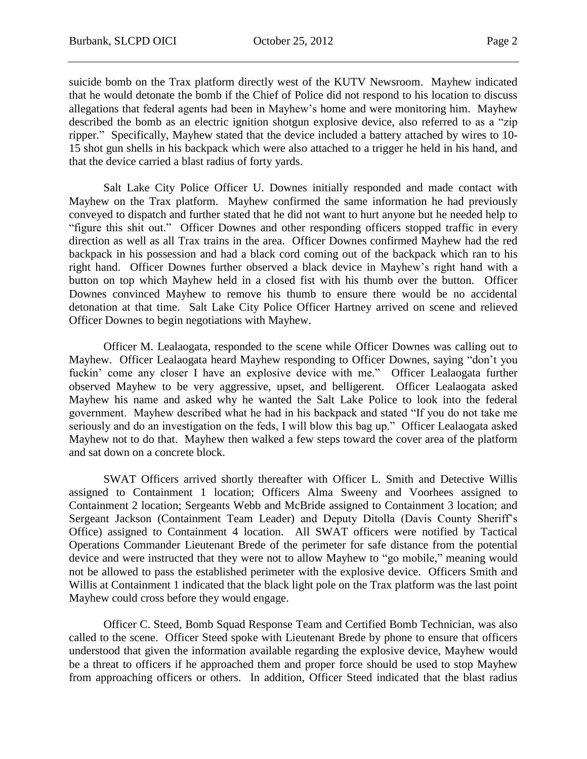suicide bomb on the Trax platform directly west of the KUTV Newsroom. Mayhew indicated that he would detonate the bomb if the Chief of Police did not respond to his location to discuss allegations that federal agents had been in Mayhew's home and were monitoring him. Mayhew described the bomb as an electric ignition shotgun explosive device, also referred to as a "zip ripper." Specifically, Mayhew stated that the device included a battery attached by wires to 10- 15 shot gun shells in his backpack which were also attached to a trigger he held in his hand, and that the device carried a blast radius of forty yards.

Salt Lake City Police Officer U. Downes initially responded and made contact with Mayhew on the Trax platform. Mayhew confirmed the same information he had previously conveyed to dispatch and further stated that he did not want to hurt anyone but he needed help to "figure this shit out." Officer Downes and other responding officers stopped traffic in every direction as well as all Trax trains in the area. Officer Downes confirmed Mayhew had the red backpack in his possession and had a black cord coming out of the backpack which ran to his right hand. Officer Downes further observed a black device in Mayhew's right hand with a button on top which Mayhew held in a closed fist with his thumb over the button. Officer Downes convinced Mayhew to remove his thumb to ensure there would be no accidental detonation at that time. Salt Lake City Police Officer Hartney arrived on scene and relieved Officer Downes to begin negotiations with Mayhew.

Officer M. Lealaogata, responded to the scene while Officer Downes was calling out to Mayhew. Officer Lealaogata heard Mayhew responding to Officer Downes, saying "don't you fuckin' come any closer I have an explosive device with me." Officer Lealaogata further observed Mayhew to be very aggressive, upset, and belligerent. Officer Lealaogata asked Mayhew his name and asked why he wanted the Salt Lake Police to look into the federal government. Mayhew described what he had in his backpack and stated "If you do not take me seriously and do an investigation on the feds, I will blow this bag up." Officer Lealaogata asked Mayhew not to do that. Mayhew then walked a few steps toward the cover area of the platform and sat down on a concrete block.

SWAT Officers arrived shortly thereafter with Officer L. Smith and Detective Willis assigned to Containment 1 location; Officers Alma Sweeny and Voorhees assigned to Containment 2 location; Sergeants Webb and McBride assigned to Containment 3 location; and Sergeant Jackson (Containment Team Leader) and Deputy Ditolla (Davis County Sheriff's Office) assigned to Containment 4 location. All SWAT officers were notified by Tactical Operations Commander Lieutenant Brede of the perimeter for safe distance from the potential device and were instructed that they were not to allow Mayhew to "go mobile," meaning would not be allowed to pass the established perimeter with the explosive device. Officers Smith and Willis at Containment 1 indicated that the black light pole on the Trax platform was the last point Mayhew could cross before they would engage.

Officer C. Steed, Bomb Squad Response Team and Certified Bomb Technician, was also called to the scene. Officer Steed spoke with Lieutenant Brede by phone to ensure that officers understood that given the information available regarding the explosive device, Mayhew would be a threat to officers if he approached them and proper force should be used to stop Mayhew from approaching officers or others. In addition, Officer Steed indicated that the blast radius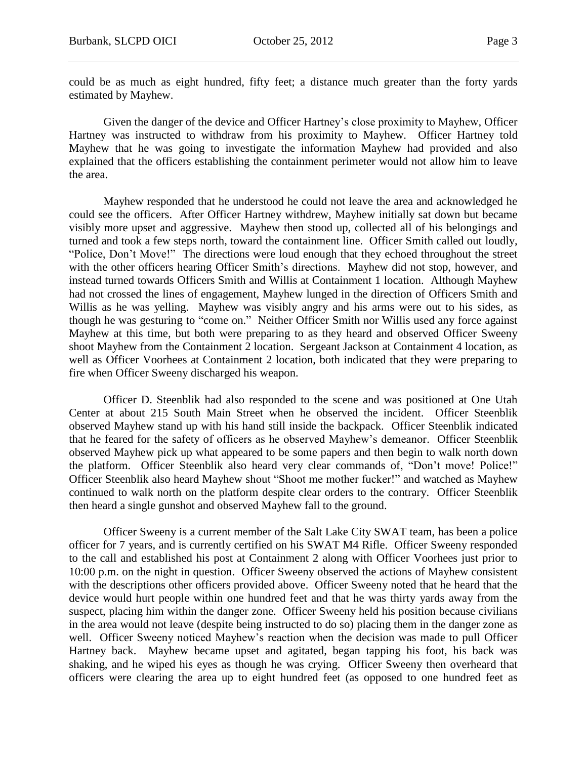could be as much as eight hundred, fifty feet; a distance much greater than the forty yards estimated by Mayhew.

Given the danger of the device and Officer Hartney's close proximity to Mayhew, Officer Hartney was instructed to withdraw from his proximity to Mayhew. Officer Hartney told Mayhew that he was going to investigate the information Mayhew had provided and also explained that the officers establishing the containment perimeter would not allow him to leave the area.

Mayhew responded that he understood he could not leave the area and acknowledged he could see the officers. After Officer Hartney withdrew, Mayhew initially sat down but became visibly more upset and aggressive. Mayhew then stood up, collected all of his belongings and turned and took a few steps north, toward the containment line. Officer Smith called out loudly, "Police, Don't Move!" The directions were loud enough that they echoed throughout the street with the other officers hearing Officer Smith's directions. Mayhew did not stop, however, and instead turned towards Officers Smith and Willis at Containment 1 location. Although Mayhew had not crossed the lines of engagement, Mayhew lunged in the direction of Officers Smith and Willis as he was yelling. Mayhew was visibly angry and his arms were out to his sides, as though he was gesturing to "come on." Neither Officer Smith nor Willis used any force against Mayhew at this time, but both were preparing to as they heard and observed Officer Sweeny shoot Mayhew from the Containment 2 location. Sergeant Jackson at Containment 4 location, as well as Officer Voorhees at Containment 2 location, both indicated that they were preparing to fire when Officer Sweeny discharged his weapon.

Officer D. Steenblik had also responded to the scene and was positioned at One Utah Center at about 215 South Main Street when he observed the incident. Officer Steenblik observed Mayhew stand up with his hand still inside the backpack. Officer Steenblik indicated that he feared for the safety of officers as he observed Mayhew's demeanor. Officer Steenblik observed Mayhew pick up what appeared to be some papers and then begin to walk north down the platform. Officer Steenblik also heard very clear commands of, "Don't move! Police!" Officer Steenblik also heard Mayhew shout "Shoot me mother fucker!" and watched as Mayhew continued to walk north on the platform despite clear orders to the contrary. Officer Steenblik then heard a single gunshot and observed Mayhew fall to the ground.

Officer Sweeny is a current member of the Salt Lake City SWAT team, has been a police officer for 7 years, and is currently certified on his SWAT M4 Rifle. Officer Sweeny responded to the call and established his post at Containment 2 along with Officer Voorhees just prior to 10:00 p.m. on the night in question. Officer Sweeny observed the actions of Mayhew consistent with the descriptions other officers provided above. Officer Sweeny noted that he heard that the device would hurt people within one hundred feet and that he was thirty yards away from the suspect, placing him within the danger zone. Officer Sweeny held his position because civilians in the area would not leave (despite being instructed to do so) placing them in the danger zone as well. Officer Sweeny noticed Mayhew's reaction when the decision was made to pull Officer Hartney back. Mayhew became upset and agitated, began tapping his foot, his back was shaking, and he wiped his eyes as though he was crying. Officer Sweeny then overheard that officers were clearing the area up to eight hundred feet (as opposed to one hundred feet as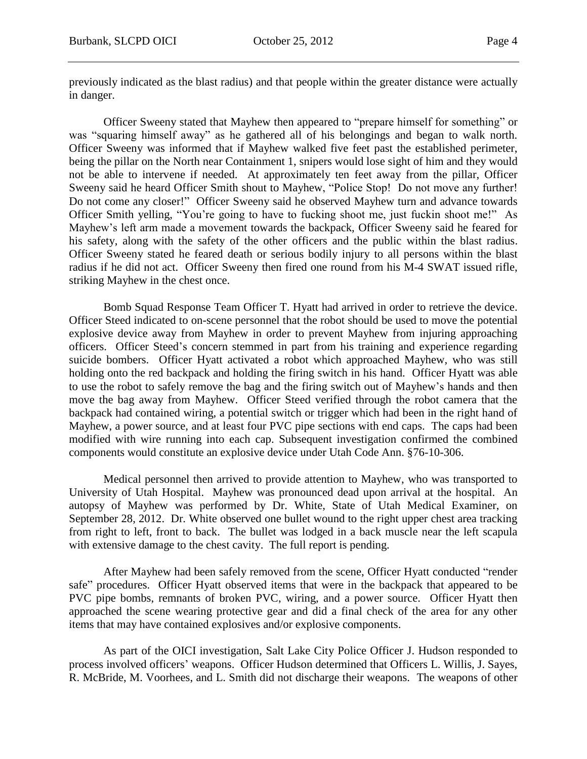previously indicated as the blast radius) and that people within the greater distance were actually in danger.

Officer Sweeny stated that Mayhew then appeared to "prepare himself for something" or was "squaring himself away" as he gathered all of his belongings and began to walk north. Officer Sweeny was informed that if Mayhew walked five feet past the established perimeter, being the pillar on the North near Containment 1, snipers would lose sight of him and they would not be able to intervene if needed. At approximately ten feet away from the pillar, Officer Sweeny said he heard Officer Smith shout to Mayhew, "Police Stop! Do not move any further! Do not come any closer!" Officer Sweeny said he observed Mayhew turn and advance towards Officer Smith yelling, "You're going to have to fucking shoot me, just fuckin shoot me!" As Mayhew's left arm made a movement towards the backpack, Officer Sweeny said he feared for his safety, along with the safety of the other officers and the public within the blast radius. Officer Sweeny stated he feared death or serious bodily injury to all persons within the blast radius if he did not act. Officer Sweeny then fired one round from his M-4 SWAT issued rifle, striking Mayhew in the chest once.

Bomb Squad Response Team Officer T. Hyatt had arrived in order to retrieve the device. Officer Steed indicated to on-scene personnel that the robot should be used to move the potential explosive device away from Mayhew in order to prevent Mayhew from injuring approaching officers. Officer Steed's concern stemmed in part from his training and experience regarding suicide bombers. Officer Hyatt activated a robot which approached Mayhew, who was still holding onto the red backpack and holding the firing switch in his hand. Officer Hyatt was able to use the robot to safely remove the bag and the firing switch out of Mayhew's hands and then move the bag away from Mayhew. Officer Steed verified through the robot camera that the backpack had contained wiring, a potential switch or trigger which had been in the right hand of Mayhew, a power source, and at least four PVC pipe sections with end caps. The caps had been modified with wire running into each cap. Subsequent investigation confirmed the combined components would constitute an explosive device under Utah Code Ann. §76-10-306.

Medical personnel then arrived to provide attention to Mayhew, who was transported to University of Utah Hospital. Mayhew was pronounced dead upon arrival at the hospital. An autopsy of Mayhew was performed by Dr. White, State of Utah Medical Examiner, on September 28, 2012. Dr. White observed one bullet wound to the right upper chest area tracking from right to left, front to back. The bullet was lodged in a back muscle near the left scapula with extensive damage to the chest cavity. The full report is pending.

After Mayhew had been safely removed from the scene, Officer Hyatt conducted "render safe" procedures. Officer Hyatt observed items that were in the backpack that appeared to be PVC pipe bombs, remnants of broken PVC, wiring, and a power source. Officer Hyatt then approached the scene wearing protective gear and did a final check of the area for any other items that may have contained explosives and/or explosive components.

As part of the OICI investigation, Salt Lake City Police Officer J. Hudson responded to process involved officers' weapons. Officer Hudson determined that Officers L. Willis, J. Sayes, R. McBride, M. Voorhees, and L. Smith did not discharge their weapons. The weapons of other